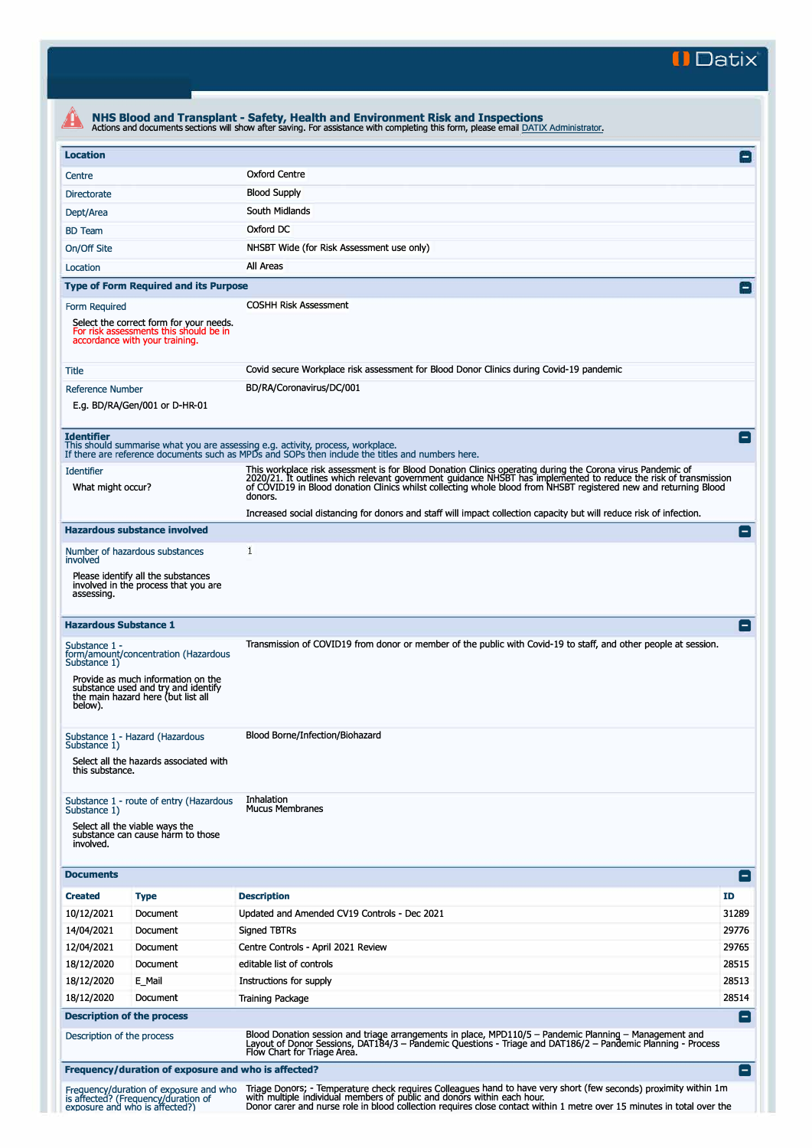**II Datix'** 

| <b>Oxford Centre</b><br>Centre<br><b>Blood Supply</b><br><b>Directorate</b><br>South Midlands<br>Dept/Area<br>Oxford DC<br><b>BD</b> Team<br>NHSBT Wide (for Risk Assessment use only)<br>On/Off Site<br>All Areas<br>Location<br><b>Type of Form Required and its Purpose</b><br><b>COSHH Risk Assessment</b><br>Form Required<br>Select the correct form for your needs.<br>For risk assessments this should be in<br>accordance with your training.<br>Covid secure Workplace risk assessment for Blood Donor Clinics during Covid-19 pandemic<br>BD/RA/Coronavirus/DC/001<br>E.g. BD/RA/Gen/001 or D-HR-01<br><b>Identifier</b><br>This should summarise what you are assessing e.g. activity, process, workplace.<br>If there are reference documents such as MPDs and SOPs then include the titles and numbers here.<br>This workplace risk assessment is for Blood Donation Clinics operating during the Corona virus Pandemic of<br><b>Identifier</b><br>2020/21. It outlines which relevant government guidance NHSBT has implemented to reduce the risk of transmission<br>of COVID19 in Blood donation Clinics whilst collecting whole blood from NHSBT registered new and returning Blood<br>What might occur?<br>donors.<br>Increased social distancing for donors and staff will impact collection capacity but will reduce risk of infection.<br><b>Hazardous substance involved</b><br>1<br>Number of hazardous substances<br>involved<br>Please identify all the substances<br>involved in the process that you are<br>assessing.<br><b>Hazardous Substance 1</b><br>Transmission of COVID19 from donor or member of the public with Covid-19 to staff, and other people at session.<br>Substance 1 -<br>form/amount/concentration (Hazardous<br>Provide as much information on the<br>substance used and try and identify<br>the main hazard here (but list all<br>below).<br>Blood Borne/Infection/Biohazard<br>Select all the hazards associated with<br>this substance.<br>Inhalation<br>Substance 1 - route of entry (Hazardous<br><b>Mucus Membranes</b><br>Select all the viable ways the<br>substance can cause harm to those<br>involved.<br><b>Documents</b><br><b>Description</b><br>ID<br><b>Created</b><br><b>Type</b><br>10/12/2021<br>Updated and Amended CV19 Controls - Dec 2021<br>Document<br>14/04/2021<br>Document<br><b>Signed TBTRs</b><br>12/04/2021<br>Centre Controls - April 2021 Review<br>Document<br>18/12/2020<br>editable list of controls<br>Document<br>18/12/2020<br>E_Mail<br>Instructions for supply<br>18/12/2020<br><b>Training Package</b><br>Document<br><b>Description of the process</b><br>Blood Donation session and triage arrangements in place, MPD110/5 - Pandemic Planning - Management and<br>Description of the process<br>Layout of Donor Sessions, DAT184/3 – Pandemic Questions - Triage and DAT186/2 – Pandemic Planning - Process<br>Flow Chart for Triage Area. |                                                                 | $\mathsf{L}$    |
|--------------------------------------------------------------------------------------------------------------------------------------------------------------------------------------------------------------------------------------------------------------------------------------------------------------------------------------------------------------------------------------------------------------------------------------------------------------------------------------------------------------------------------------------------------------------------------------------------------------------------------------------------------------------------------------------------------------------------------------------------------------------------------------------------------------------------------------------------------------------------------------------------------------------------------------------------------------------------------------------------------------------------------------------------------------------------------------------------------------------------------------------------------------------------------------------------------------------------------------------------------------------------------------------------------------------------------------------------------------------------------------------------------------------------------------------------------------------------------------------------------------------------------------------------------------------------------------------------------------------------------------------------------------------------------------------------------------------------------------------------------------------------------------------------------------------------------------------------------------------------------------------------------------------------------------------------------------------------------------------------------------------------------------------------------------------------------------------------------------------------------------------------------------------------------------------------------------------------------------------------------------------------------------------------------------------------------------------------------------------------------------------------------------------------------------------------------------------------------------------------------------------------------------------------------------------------------------------------------------------------------------------------------------------------------------------------------------------------------------------------------------------------------------------------------------------------------------------------------------------------------------------------------------------------------------------|-----------------------------------------------------------------|-----------------|
|                                                                                                                                                                                                                                                                                                                                                                                                                                                                                                                                                                                                                                                                                                                                                                                                                                                                                                                                                                                                                                                                                                                                                                                                                                                                                                                                                                                                                                                                                                                                                                                                                                                                                                                                                                                                                                                                                                                                                                                                                                                                                                                                                                                                                                                                                                                                                                                                                                                                                                                                                                                                                                                                                                                                                                                                                                                                                                                                            |                                                                 |                 |
|                                                                                                                                                                                                                                                                                                                                                                                                                                                                                                                                                                                                                                                                                                                                                                                                                                                                                                                                                                                                                                                                                                                                                                                                                                                                                                                                                                                                                                                                                                                                                                                                                                                                                                                                                                                                                                                                                                                                                                                                                                                                                                                                                                                                                                                                                                                                                                                                                                                                                                                                                                                                                                                                                                                                                                                                                                                                                                                                            |                                                                 |                 |
|                                                                                                                                                                                                                                                                                                                                                                                                                                                                                                                                                                                                                                                                                                                                                                                                                                                                                                                                                                                                                                                                                                                                                                                                                                                                                                                                                                                                                                                                                                                                                                                                                                                                                                                                                                                                                                                                                                                                                                                                                                                                                                                                                                                                                                                                                                                                                                                                                                                                                                                                                                                                                                                                                                                                                                                                                                                                                                                                            |                                                                 |                 |
|                                                                                                                                                                                                                                                                                                                                                                                                                                                                                                                                                                                                                                                                                                                                                                                                                                                                                                                                                                                                                                                                                                                                                                                                                                                                                                                                                                                                                                                                                                                                                                                                                                                                                                                                                                                                                                                                                                                                                                                                                                                                                                                                                                                                                                                                                                                                                                                                                                                                                                                                                                                                                                                                                                                                                                                                                                                                                                                                            |                                                                 |                 |
|                                                                                                                                                                                                                                                                                                                                                                                                                                                                                                                                                                                                                                                                                                                                                                                                                                                                                                                                                                                                                                                                                                                                                                                                                                                                                                                                                                                                                                                                                                                                                                                                                                                                                                                                                                                                                                                                                                                                                                                                                                                                                                                                                                                                                                                                                                                                                                                                                                                                                                                                                                                                                                                                                                                                                                                                                                                                                                                                            |                                                                 |                 |
|                                                                                                                                                                                                                                                                                                                                                                                                                                                                                                                                                                                                                                                                                                                                                                                                                                                                                                                                                                                                                                                                                                                                                                                                                                                                                                                                                                                                                                                                                                                                                                                                                                                                                                                                                                                                                                                                                                                                                                                                                                                                                                                                                                                                                                                                                                                                                                                                                                                                                                                                                                                                                                                                                                                                                                                                                                                                                                                                            |                                                                 |                 |
|                                                                                                                                                                                                                                                                                                                                                                                                                                                                                                                                                                                                                                                                                                                                                                                                                                                                                                                                                                                                                                                                                                                                                                                                                                                                                                                                                                                                                                                                                                                                                                                                                                                                                                                                                                                                                                                                                                                                                                                                                                                                                                                                                                                                                                                                                                                                                                                                                                                                                                                                                                                                                                                                                                                                                                                                                                                                                                                                            |                                                                 |                 |
|                                                                                                                                                                                                                                                                                                                                                                                                                                                                                                                                                                                                                                                                                                                                                                                                                                                                                                                                                                                                                                                                                                                                                                                                                                                                                                                                                                                                                                                                                                                                                                                                                                                                                                                                                                                                                                                                                                                                                                                                                                                                                                                                                                                                                                                                                                                                                                                                                                                                                                                                                                                                                                                                                                                                                                                                                                                                                                                                            |                                                                 |                 |
|                                                                                                                                                                                                                                                                                                                                                                                                                                                                                                                                                                                                                                                                                                                                                                                                                                                                                                                                                                                                                                                                                                                                                                                                                                                                                                                                                                                                                                                                                                                                                                                                                                                                                                                                                                                                                                                                                                                                                                                                                                                                                                                                                                                                                                                                                                                                                                                                                                                                                                                                                                                                                                                                                                                                                                                                                                                                                                                                            | Title                                                           |                 |
|                                                                                                                                                                                                                                                                                                                                                                                                                                                                                                                                                                                                                                                                                                                                                                                                                                                                                                                                                                                                                                                                                                                                                                                                                                                                                                                                                                                                                                                                                                                                                                                                                                                                                                                                                                                                                                                                                                                                                                                                                                                                                                                                                                                                                                                                                                                                                                                                                                                                                                                                                                                                                                                                                                                                                                                                                                                                                                                                            | <b>Reference Number</b>                                         |                 |
|                                                                                                                                                                                                                                                                                                                                                                                                                                                                                                                                                                                                                                                                                                                                                                                                                                                                                                                                                                                                                                                                                                                                                                                                                                                                                                                                                                                                                                                                                                                                                                                                                                                                                                                                                                                                                                                                                                                                                                                                                                                                                                                                                                                                                                                                                                                                                                                                                                                                                                                                                                                                                                                                                                                                                                                                                                                                                                                                            |                                                                 | l –             |
|                                                                                                                                                                                                                                                                                                                                                                                                                                                                                                                                                                                                                                                                                                                                                                                                                                                                                                                                                                                                                                                                                                                                                                                                                                                                                                                                                                                                                                                                                                                                                                                                                                                                                                                                                                                                                                                                                                                                                                                                                                                                                                                                                                                                                                                                                                                                                                                                                                                                                                                                                                                                                                                                                                                                                                                                                                                                                                                                            |                                                                 |                 |
|                                                                                                                                                                                                                                                                                                                                                                                                                                                                                                                                                                                                                                                                                                                                                                                                                                                                                                                                                                                                                                                                                                                                                                                                                                                                                                                                                                                                                                                                                                                                                                                                                                                                                                                                                                                                                                                                                                                                                                                                                                                                                                                                                                                                                                                                                                                                                                                                                                                                                                                                                                                                                                                                                                                                                                                                                                                                                                                                            |                                                                 |                 |
|                                                                                                                                                                                                                                                                                                                                                                                                                                                                                                                                                                                                                                                                                                                                                                                                                                                                                                                                                                                                                                                                                                                                                                                                                                                                                                                                                                                                                                                                                                                                                                                                                                                                                                                                                                                                                                                                                                                                                                                                                                                                                                                                                                                                                                                                                                                                                                                                                                                                                                                                                                                                                                                                                                                                                                                                                                                                                                                                            |                                                                 |                 |
|                                                                                                                                                                                                                                                                                                                                                                                                                                                                                                                                                                                                                                                                                                                                                                                                                                                                                                                                                                                                                                                                                                                                                                                                                                                                                                                                                                                                                                                                                                                                                                                                                                                                                                                                                                                                                                                                                                                                                                                                                                                                                                                                                                                                                                                                                                                                                                                                                                                                                                                                                                                                                                                                                                                                                                                                                                                                                                                                            |                                                                 |                 |
|                                                                                                                                                                                                                                                                                                                                                                                                                                                                                                                                                                                                                                                                                                                                                                                                                                                                                                                                                                                                                                                                                                                                                                                                                                                                                                                                                                                                                                                                                                                                                                                                                                                                                                                                                                                                                                                                                                                                                                                                                                                                                                                                                                                                                                                                                                                                                                                                                                                                                                                                                                                                                                                                                                                                                                                                                                                                                                                                            |                                                                 |                 |
|                                                                                                                                                                                                                                                                                                                                                                                                                                                                                                                                                                                                                                                                                                                                                                                                                                                                                                                                                                                                                                                                                                                                                                                                                                                                                                                                                                                                                                                                                                                                                                                                                                                                                                                                                                                                                                                                                                                                                                                                                                                                                                                                                                                                                                                                                                                                                                                                                                                                                                                                                                                                                                                                                                                                                                                                                                                                                                                                            |                                                                 |                 |
|                                                                                                                                                                                                                                                                                                                                                                                                                                                                                                                                                                                                                                                                                                                                                                                                                                                                                                                                                                                                                                                                                                                                                                                                                                                                                                                                                                                                                                                                                                                                                                                                                                                                                                                                                                                                                                                                                                                                                                                                                                                                                                                                                                                                                                                                                                                                                                                                                                                                                                                                                                                                                                                                                                                                                                                                                                                                                                                                            |                                                                 |                 |
|                                                                                                                                                                                                                                                                                                                                                                                                                                                                                                                                                                                                                                                                                                                                                                                                                                                                                                                                                                                                                                                                                                                                                                                                                                                                                                                                                                                                                                                                                                                                                                                                                                                                                                                                                                                                                                                                                                                                                                                                                                                                                                                                                                                                                                                                                                                                                                                                                                                                                                                                                                                                                                                                                                                                                                                                                                                                                                                                            |                                                                 |                 |
|                                                                                                                                                                                                                                                                                                                                                                                                                                                                                                                                                                                                                                                                                                                                                                                                                                                                                                                                                                                                                                                                                                                                                                                                                                                                                                                                                                                                                                                                                                                                                                                                                                                                                                                                                                                                                                                                                                                                                                                                                                                                                                                                                                                                                                                                                                                                                                                                                                                                                                                                                                                                                                                                                                                                                                                                                                                                                                                                            | Substance 1)<br>Substance 1 - Hazard (Hazardous<br>Substance 1) |                 |
|                                                                                                                                                                                                                                                                                                                                                                                                                                                                                                                                                                                                                                                                                                                                                                                                                                                                                                                                                                                                                                                                                                                                                                                                                                                                                                                                                                                                                                                                                                                                                                                                                                                                                                                                                                                                                                                                                                                                                                                                                                                                                                                                                                                                                                                                                                                                                                                                                                                                                                                                                                                                                                                                                                                                                                                                                                                                                                                                            | Substance 1)                                                    |                 |
|                                                                                                                                                                                                                                                                                                                                                                                                                                                                                                                                                                                                                                                                                                                                                                                                                                                                                                                                                                                                                                                                                                                                                                                                                                                                                                                                                                                                                                                                                                                                                                                                                                                                                                                                                                                                                                                                                                                                                                                                                                                                                                                                                                                                                                                                                                                                                                                                                                                                                                                                                                                                                                                                                                                                                                                                                                                                                                                                            |                                                                 | E               |
|                                                                                                                                                                                                                                                                                                                                                                                                                                                                                                                                                                                                                                                                                                                                                                                                                                                                                                                                                                                                                                                                                                                                                                                                                                                                                                                                                                                                                                                                                                                                                                                                                                                                                                                                                                                                                                                                                                                                                                                                                                                                                                                                                                                                                                                                                                                                                                                                                                                                                                                                                                                                                                                                                                                                                                                                                                                                                                                                            |                                                                 |                 |
|                                                                                                                                                                                                                                                                                                                                                                                                                                                                                                                                                                                                                                                                                                                                                                                                                                                                                                                                                                                                                                                                                                                                                                                                                                                                                                                                                                                                                                                                                                                                                                                                                                                                                                                                                                                                                                                                                                                                                                                                                                                                                                                                                                                                                                                                                                                                                                                                                                                                                                                                                                                                                                                                                                                                                                                                                                                                                                                                            |                                                                 | 31289           |
|                                                                                                                                                                                                                                                                                                                                                                                                                                                                                                                                                                                                                                                                                                                                                                                                                                                                                                                                                                                                                                                                                                                                                                                                                                                                                                                                                                                                                                                                                                                                                                                                                                                                                                                                                                                                                                                                                                                                                                                                                                                                                                                                                                                                                                                                                                                                                                                                                                                                                                                                                                                                                                                                                                                                                                                                                                                                                                                                            |                                                                 | 29776           |
|                                                                                                                                                                                                                                                                                                                                                                                                                                                                                                                                                                                                                                                                                                                                                                                                                                                                                                                                                                                                                                                                                                                                                                                                                                                                                                                                                                                                                                                                                                                                                                                                                                                                                                                                                                                                                                                                                                                                                                                                                                                                                                                                                                                                                                                                                                                                                                                                                                                                                                                                                                                                                                                                                                                                                                                                                                                                                                                                            |                                                                 | 29765           |
|                                                                                                                                                                                                                                                                                                                                                                                                                                                                                                                                                                                                                                                                                                                                                                                                                                                                                                                                                                                                                                                                                                                                                                                                                                                                                                                                                                                                                                                                                                                                                                                                                                                                                                                                                                                                                                                                                                                                                                                                                                                                                                                                                                                                                                                                                                                                                                                                                                                                                                                                                                                                                                                                                                                                                                                                                                                                                                                                            |                                                                 | 28515           |
|                                                                                                                                                                                                                                                                                                                                                                                                                                                                                                                                                                                                                                                                                                                                                                                                                                                                                                                                                                                                                                                                                                                                                                                                                                                                                                                                                                                                                                                                                                                                                                                                                                                                                                                                                                                                                                                                                                                                                                                                                                                                                                                                                                                                                                                                                                                                                                                                                                                                                                                                                                                                                                                                                                                                                                                                                                                                                                                                            |                                                                 | 28513           |
|                                                                                                                                                                                                                                                                                                                                                                                                                                                                                                                                                                                                                                                                                                                                                                                                                                                                                                                                                                                                                                                                                                                                                                                                                                                                                                                                                                                                                                                                                                                                                                                                                                                                                                                                                                                                                                                                                                                                                                                                                                                                                                                                                                                                                                                                                                                                                                                                                                                                                                                                                                                                                                                                                                                                                                                                                                                                                                                                            |                                                                 | 28514           |
|                                                                                                                                                                                                                                                                                                                                                                                                                                                                                                                                                                                                                                                                                                                                                                                                                                                                                                                                                                                                                                                                                                                                                                                                                                                                                                                                                                                                                                                                                                                                                                                                                                                                                                                                                                                                                                                                                                                                                                                                                                                                                                                                                                                                                                                                                                                                                                                                                                                                                                                                                                                                                                                                                                                                                                                                                                                                                                                                            |                                                                 | $\vert - \vert$ |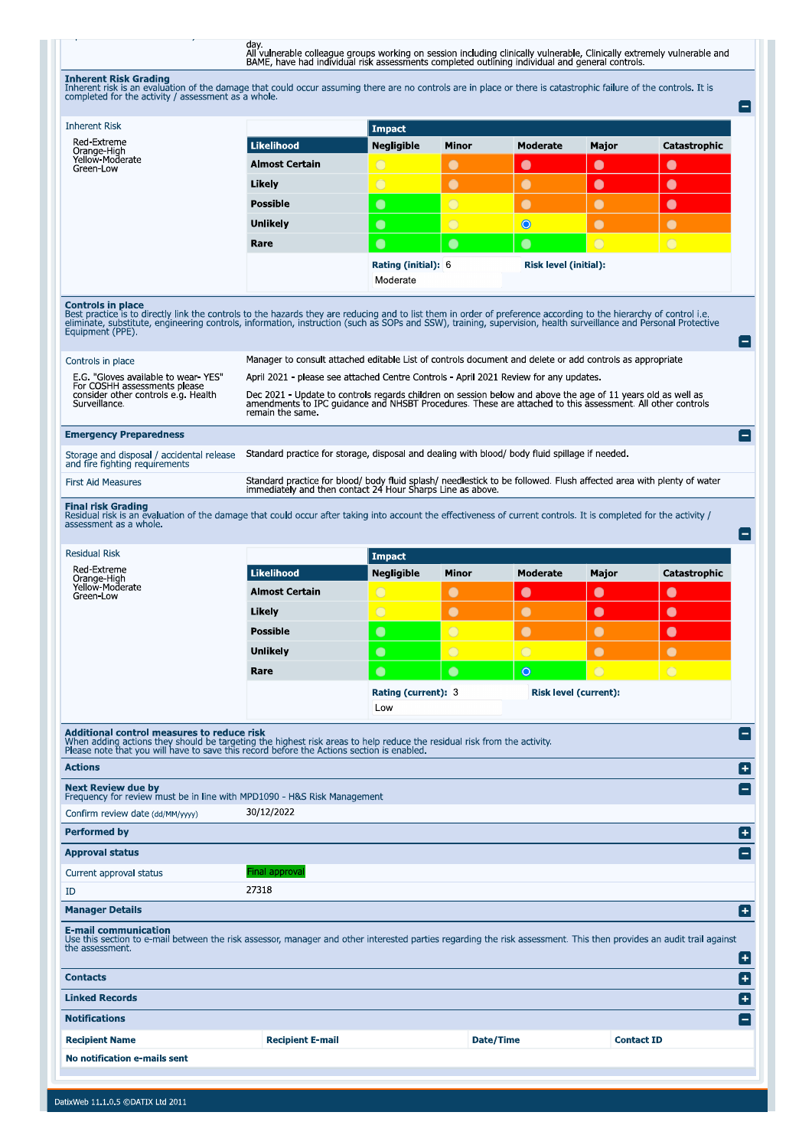day.<br>All vulnerable colleague groups working on session including clinically vulnerable, Clinically extremely vulnerable and<br>BAME, have had individual risk assessments completed outlining individual and general controls.

**Inherent Risk Grading**<br>Inherent risk is an evaluation of the damage that could occur assuming there are no controls are in place or there is catastrophic failure of the controls. It is<br>completed for the activity / assessm

| <b>Inherent Risk</b><br><b>Impact</b><br>Red-Extreme<br><b>Likelihood</b><br><b>Negligible</b><br><b>Moderate</b><br><b>Major</b><br><b>Catastrophic</b><br>Minor<br>Orange-High<br>Yellow-Moderate<br><b>Almost Certain</b><br>$\bigcirc$<br>$\bullet$<br>$\bullet$<br>$\bullet$<br>$\bullet$<br>Green-Low<br>$\bigcirc$<br>$\bullet$<br>$\bullet$<br>Likely<br>$\bullet$<br>$\bullet$<br>$\overline{O}$<br><b>Possible</b><br>$\bullet$<br>$\bullet$<br>$\bullet$<br>$\bullet$<br>$\overline{O}$<br>$\bullet$<br>$\bullet$<br>$\bullet$<br>$\bullet$<br>Unlikely<br>$\overline{C}$<br>$\overline{O}$<br>$\bullet$<br>$\bullet$<br>Rare<br>$\bullet$<br>Rating (initial): 6<br>Risk level (initial):<br>Moderate<br><b>Controls in place</b><br>Best practice is to directly link the controls to the hazards they are reducing and to list them in order of preference according to the hierarchy of control i.e.<br>eliminate, substitute, engineering controls, information, instruction (such as SOPs and SSW), training, supervision, health surveillance and Personal Protective<br>Equipment (PPE).<br>Manager to consult attached editable List of controls document and delete or add controls as appropriate<br>Controls in place<br>E.G. "Gloves available to wear YES"<br>April 2021 - please see attached Centre Controls - April 2021 Review for any updates.<br>For COSHH assessments please<br>consider other controls e a. Health<br>Dec 2021 - Update to controls regards children on session below and above the age of 11 years old as well as<br>amendments to IPC quidance and NHSBT Procedures. These are attached to this assessment. All other controls<br>Surveillance.<br>remain the same.<br><b>Emergency Preparedness</b><br>$\vert - \vert$<br>Standard practice for storage, disposal and dealing with blood/ body fluid spillage if needed.<br>Storage and disposal / accidental release<br>and fire fighting requirements<br>Standard practice for blood/ body fluid splash/ needlestick to be followed. Flush affected area with plenty of water<br><b>First Aid Measures</b><br>immediately and then contact 24 Hour Sharps Line as above.<br><b>Final risk Grading</b><br>Residual risk is an evaluation of the damage that could occur after taking into account the effectiveness of current controls. It is completed for the activity /<br>assessment as a whole.<br>E<br><b>Residual Risk</b><br><b>Impact</b><br><b>Red-Extreme</b><br><b>Likelihood</b><br><b>Negligible</b><br>Catastrophic<br>Minor<br>Moderate<br>Major<br>Orange-High<br>Yellow-Moderate<br><b>Almost Certain</b><br>$\bigcirc$<br>$\bullet$<br>$\bullet$<br>$\bullet$<br>$\bullet$<br>Green-Low<br>$\bigcirc$<br>$\bullet$<br>Likely<br>$\bullet$<br>$\bullet$<br>$\bullet$<br>$\overline{O}$<br>$\bullet$<br>$\bullet$<br>$\bullet$<br><b>Possible</b><br>$\bullet$<br><b>Unlikely</b><br>$\bigcirc$<br>$\bigcirc$<br>$\bullet$<br>$\bullet$<br>$\bullet$<br>$\bullet$<br>$\bullet$<br>$\circ$<br>$\bigcirc$<br>Rare<br>$\circ$<br><b>Risk level (current):</b><br><b>Rating (current): 3</b><br>Low<br>Additional control measures to reduce risk<br>When adding actions they should be targeting the highest risk areas to help reduce the residual risk from the activity.<br>Please note that you will have to save this record before the Actions section is enabled.<br><b>Actions</b><br>Ð<br><b>Next Review due by</b><br>Frequency for review must be in line with MPD1090 - H&S Risk Management<br>30/12/2022<br>Confirm review date (dd/MM/yyyy)<br><b>Performed by</b><br>Ð<br><b>Approval status</b><br>Final approval<br>Current approval status<br>27318<br>ID<br>Ð<br><b>Manager Details</b> |
|--------------------------------------------------------------------------------------------------------------------------------------------------------------------------------------------------------------------------------------------------------------------------------------------------------------------------------------------------------------------------------------------------------------------------------------------------------------------------------------------------------------------------------------------------------------------------------------------------------------------------------------------------------------------------------------------------------------------------------------------------------------------------------------------------------------------------------------------------------------------------------------------------------------------------------------------------------------------------------------------------------------------------------------------------------------------------------------------------------------------------------------------------------------------------------------------------------------------------------------------------------------------------------------------------------------------------------------------------------------------------------------------------------------------------------------------------------------------------------------------------------------------------------------------------------------------------------------------------------------------------------------------------------------------------------------------------------------------------------------------------------------------------------------------------------------------------------------------------------------------------------------------------------------------------------------------------------------------------------------------------------------------------------------------------------------------------------------------------------------------------------------------------------------------------------------------------------------------------------------------------------------------------------------------------------------------------------------------------------------------------------------------------------------------------------------------------------------------------------------------------------------------------------------------------------------------------------------------------------------------------------------------------------------------------------------------------------------------------------------------------------------------------------------------------------------------------------------------------------------------------------------------------------------------------------------------------------------------------------------------------------------------------------------------------------------------------------------------------------------------------------------------------------------------------------------------------------------------------------------------------------------------------------------------------------------------------------------------------------------------------------------------------------------------------------------------------------------------------------------------------------------------------------------------------------------------------------------------------------------------------------------------------------------------------------------------------------------------------------|
|                                                                                                                                                                                                                                                                                                                                                                                                                                                                                                                                                                                                                                                                                                                                                                                                                                                                                                                                                                                                                                                                                                                                                                                                                                                                                                                                                                                                                                                                                                                                                                                                                                                                                                                                                                                                                                                                                                                                                                                                                                                                                                                                                                                                                                                                                                                                                                                                                                                                                                                                                                                                                                                                                                                                                                                                                                                                                                                                                                                                                                                                                                                                                                                                                                                                                                                                                                                                                                                                                                                                                                                                                                                                                                                                |
|                                                                                                                                                                                                                                                                                                                                                                                                                                                                                                                                                                                                                                                                                                                                                                                                                                                                                                                                                                                                                                                                                                                                                                                                                                                                                                                                                                                                                                                                                                                                                                                                                                                                                                                                                                                                                                                                                                                                                                                                                                                                                                                                                                                                                                                                                                                                                                                                                                                                                                                                                                                                                                                                                                                                                                                                                                                                                                                                                                                                                                                                                                                                                                                                                                                                                                                                                                                                                                                                                                                                                                                                                                                                                                                                |
|                                                                                                                                                                                                                                                                                                                                                                                                                                                                                                                                                                                                                                                                                                                                                                                                                                                                                                                                                                                                                                                                                                                                                                                                                                                                                                                                                                                                                                                                                                                                                                                                                                                                                                                                                                                                                                                                                                                                                                                                                                                                                                                                                                                                                                                                                                                                                                                                                                                                                                                                                                                                                                                                                                                                                                                                                                                                                                                                                                                                                                                                                                                                                                                                                                                                                                                                                                                                                                                                                                                                                                                                                                                                                                                                |
|                                                                                                                                                                                                                                                                                                                                                                                                                                                                                                                                                                                                                                                                                                                                                                                                                                                                                                                                                                                                                                                                                                                                                                                                                                                                                                                                                                                                                                                                                                                                                                                                                                                                                                                                                                                                                                                                                                                                                                                                                                                                                                                                                                                                                                                                                                                                                                                                                                                                                                                                                                                                                                                                                                                                                                                                                                                                                                                                                                                                                                                                                                                                                                                                                                                                                                                                                                                                                                                                                                                                                                                                                                                                                                                                |
|                                                                                                                                                                                                                                                                                                                                                                                                                                                                                                                                                                                                                                                                                                                                                                                                                                                                                                                                                                                                                                                                                                                                                                                                                                                                                                                                                                                                                                                                                                                                                                                                                                                                                                                                                                                                                                                                                                                                                                                                                                                                                                                                                                                                                                                                                                                                                                                                                                                                                                                                                                                                                                                                                                                                                                                                                                                                                                                                                                                                                                                                                                                                                                                                                                                                                                                                                                                                                                                                                                                                                                                                                                                                                                                                |
|                                                                                                                                                                                                                                                                                                                                                                                                                                                                                                                                                                                                                                                                                                                                                                                                                                                                                                                                                                                                                                                                                                                                                                                                                                                                                                                                                                                                                                                                                                                                                                                                                                                                                                                                                                                                                                                                                                                                                                                                                                                                                                                                                                                                                                                                                                                                                                                                                                                                                                                                                                                                                                                                                                                                                                                                                                                                                                                                                                                                                                                                                                                                                                                                                                                                                                                                                                                                                                                                                                                                                                                                                                                                                                                                |
|                                                                                                                                                                                                                                                                                                                                                                                                                                                                                                                                                                                                                                                                                                                                                                                                                                                                                                                                                                                                                                                                                                                                                                                                                                                                                                                                                                                                                                                                                                                                                                                                                                                                                                                                                                                                                                                                                                                                                                                                                                                                                                                                                                                                                                                                                                                                                                                                                                                                                                                                                                                                                                                                                                                                                                                                                                                                                                                                                                                                                                                                                                                                                                                                                                                                                                                                                                                                                                                                                                                                                                                                                                                                                                                                |
|                                                                                                                                                                                                                                                                                                                                                                                                                                                                                                                                                                                                                                                                                                                                                                                                                                                                                                                                                                                                                                                                                                                                                                                                                                                                                                                                                                                                                                                                                                                                                                                                                                                                                                                                                                                                                                                                                                                                                                                                                                                                                                                                                                                                                                                                                                                                                                                                                                                                                                                                                                                                                                                                                                                                                                                                                                                                                                                                                                                                                                                                                                                                                                                                                                                                                                                                                                                                                                                                                                                                                                                                                                                                                                                                |
|                                                                                                                                                                                                                                                                                                                                                                                                                                                                                                                                                                                                                                                                                                                                                                                                                                                                                                                                                                                                                                                                                                                                                                                                                                                                                                                                                                                                                                                                                                                                                                                                                                                                                                                                                                                                                                                                                                                                                                                                                                                                                                                                                                                                                                                                                                                                                                                                                                                                                                                                                                                                                                                                                                                                                                                                                                                                                                                                                                                                                                                                                                                                                                                                                                                                                                                                                                                                                                                                                                                                                                                                                                                                                                                                |
|                                                                                                                                                                                                                                                                                                                                                                                                                                                                                                                                                                                                                                                                                                                                                                                                                                                                                                                                                                                                                                                                                                                                                                                                                                                                                                                                                                                                                                                                                                                                                                                                                                                                                                                                                                                                                                                                                                                                                                                                                                                                                                                                                                                                                                                                                                                                                                                                                                                                                                                                                                                                                                                                                                                                                                                                                                                                                                                                                                                                                                                                                                                                                                                                                                                                                                                                                                                                                                                                                                                                                                                                                                                                                                                                |
|                                                                                                                                                                                                                                                                                                                                                                                                                                                                                                                                                                                                                                                                                                                                                                                                                                                                                                                                                                                                                                                                                                                                                                                                                                                                                                                                                                                                                                                                                                                                                                                                                                                                                                                                                                                                                                                                                                                                                                                                                                                                                                                                                                                                                                                                                                                                                                                                                                                                                                                                                                                                                                                                                                                                                                                                                                                                                                                                                                                                                                                                                                                                                                                                                                                                                                                                                                                                                                                                                                                                                                                                                                                                                                                                |
|                                                                                                                                                                                                                                                                                                                                                                                                                                                                                                                                                                                                                                                                                                                                                                                                                                                                                                                                                                                                                                                                                                                                                                                                                                                                                                                                                                                                                                                                                                                                                                                                                                                                                                                                                                                                                                                                                                                                                                                                                                                                                                                                                                                                                                                                                                                                                                                                                                                                                                                                                                                                                                                                                                                                                                                                                                                                                                                                                                                                                                                                                                                                                                                                                                                                                                                                                                                                                                                                                                                                                                                                                                                                                                                                |
|                                                                                                                                                                                                                                                                                                                                                                                                                                                                                                                                                                                                                                                                                                                                                                                                                                                                                                                                                                                                                                                                                                                                                                                                                                                                                                                                                                                                                                                                                                                                                                                                                                                                                                                                                                                                                                                                                                                                                                                                                                                                                                                                                                                                                                                                                                                                                                                                                                                                                                                                                                                                                                                                                                                                                                                                                                                                                                                                                                                                                                                                                                                                                                                                                                                                                                                                                                                                                                                                                                                                                                                                                                                                                                                                |
|                                                                                                                                                                                                                                                                                                                                                                                                                                                                                                                                                                                                                                                                                                                                                                                                                                                                                                                                                                                                                                                                                                                                                                                                                                                                                                                                                                                                                                                                                                                                                                                                                                                                                                                                                                                                                                                                                                                                                                                                                                                                                                                                                                                                                                                                                                                                                                                                                                                                                                                                                                                                                                                                                                                                                                                                                                                                                                                                                                                                                                                                                                                                                                                                                                                                                                                                                                                                                                                                                                                                                                                                                                                                                                                                |
|                                                                                                                                                                                                                                                                                                                                                                                                                                                                                                                                                                                                                                                                                                                                                                                                                                                                                                                                                                                                                                                                                                                                                                                                                                                                                                                                                                                                                                                                                                                                                                                                                                                                                                                                                                                                                                                                                                                                                                                                                                                                                                                                                                                                                                                                                                                                                                                                                                                                                                                                                                                                                                                                                                                                                                                                                                                                                                                                                                                                                                                                                                                                                                                                                                                                                                                                                                                                                                                                                                                                                                                                                                                                                                                                |
|                                                                                                                                                                                                                                                                                                                                                                                                                                                                                                                                                                                                                                                                                                                                                                                                                                                                                                                                                                                                                                                                                                                                                                                                                                                                                                                                                                                                                                                                                                                                                                                                                                                                                                                                                                                                                                                                                                                                                                                                                                                                                                                                                                                                                                                                                                                                                                                                                                                                                                                                                                                                                                                                                                                                                                                                                                                                                                                                                                                                                                                                                                                                                                                                                                                                                                                                                                                                                                                                                                                                                                                                                                                                                                                                |
|                                                                                                                                                                                                                                                                                                                                                                                                                                                                                                                                                                                                                                                                                                                                                                                                                                                                                                                                                                                                                                                                                                                                                                                                                                                                                                                                                                                                                                                                                                                                                                                                                                                                                                                                                                                                                                                                                                                                                                                                                                                                                                                                                                                                                                                                                                                                                                                                                                                                                                                                                                                                                                                                                                                                                                                                                                                                                                                                                                                                                                                                                                                                                                                                                                                                                                                                                                                                                                                                                                                                                                                                                                                                                                                                |
|                                                                                                                                                                                                                                                                                                                                                                                                                                                                                                                                                                                                                                                                                                                                                                                                                                                                                                                                                                                                                                                                                                                                                                                                                                                                                                                                                                                                                                                                                                                                                                                                                                                                                                                                                                                                                                                                                                                                                                                                                                                                                                                                                                                                                                                                                                                                                                                                                                                                                                                                                                                                                                                                                                                                                                                                                                                                                                                                                                                                                                                                                                                                                                                                                                                                                                                                                                                                                                                                                                                                                                                                                                                                                                                                |
|                                                                                                                                                                                                                                                                                                                                                                                                                                                                                                                                                                                                                                                                                                                                                                                                                                                                                                                                                                                                                                                                                                                                                                                                                                                                                                                                                                                                                                                                                                                                                                                                                                                                                                                                                                                                                                                                                                                                                                                                                                                                                                                                                                                                                                                                                                                                                                                                                                                                                                                                                                                                                                                                                                                                                                                                                                                                                                                                                                                                                                                                                                                                                                                                                                                                                                                                                                                                                                                                                                                                                                                                                                                                                                                                |
|                                                                                                                                                                                                                                                                                                                                                                                                                                                                                                                                                                                                                                                                                                                                                                                                                                                                                                                                                                                                                                                                                                                                                                                                                                                                                                                                                                                                                                                                                                                                                                                                                                                                                                                                                                                                                                                                                                                                                                                                                                                                                                                                                                                                                                                                                                                                                                                                                                                                                                                                                                                                                                                                                                                                                                                                                                                                                                                                                                                                                                                                                                                                                                                                                                                                                                                                                                                                                                                                                                                                                                                                                                                                                                                                |
|                                                                                                                                                                                                                                                                                                                                                                                                                                                                                                                                                                                                                                                                                                                                                                                                                                                                                                                                                                                                                                                                                                                                                                                                                                                                                                                                                                                                                                                                                                                                                                                                                                                                                                                                                                                                                                                                                                                                                                                                                                                                                                                                                                                                                                                                                                                                                                                                                                                                                                                                                                                                                                                                                                                                                                                                                                                                                                                                                                                                                                                                                                                                                                                                                                                                                                                                                                                                                                                                                                                                                                                                                                                                                                                                |
|                                                                                                                                                                                                                                                                                                                                                                                                                                                                                                                                                                                                                                                                                                                                                                                                                                                                                                                                                                                                                                                                                                                                                                                                                                                                                                                                                                                                                                                                                                                                                                                                                                                                                                                                                                                                                                                                                                                                                                                                                                                                                                                                                                                                                                                                                                                                                                                                                                                                                                                                                                                                                                                                                                                                                                                                                                                                                                                                                                                                                                                                                                                                                                                                                                                                                                                                                                                                                                                                                                                                                                                                                                                                                                                                |
|                                                                                                                                                                                                                                                                                                                                                                                                                                                                                                                                                                                                                                                                                                                                                                                                                                                                                                                                                                                                                                                                                                                                                                                                                                                                                                                                                                                                                                                                                                                                                                                                                                                                                                                                                                                                                                                                                                                                                                                                                                                                                                                                                                                                                                                                                                                                                                                                                                                                                                                                                                                                                                                                                                                                                                                                                                                                                                                                                                                                                                                                                                                                                                                                                                                                                                                                                                                                                                                                                                                                                                                                                                                                                                                                |
|                                                                                                                                                                                                                                                                                                                                                                                                                                                                                                                                                                                                                                                                                                                                                                                                                                                                                                                                                                                                                                                                                                                                                                                                                                                                                                                                                                                                                                                                                                                                                                                                                                                                                                                                                                                                                                                                                                                                                                                                                                                                                                                                                                                                                                                                                                                                                                                                                                                                                                                                                                                                                                                                                                                                                                                                                                                                                                                                                                                                                                                                                                                                                                                                                                                                                                                                                                                                                                                                                                                                                                                                                                                                                                                                |
|                                                                                                                                                                                                                                                                                                                                                                                                                                                                                                                                                                                                                                                                                                                                                                                                                                                                                                                                                                                                                                                                                                                                                                                                                                                                                                                                                                                                                                                                                                                                                                                                                                                                                                                                                                                                                                                                                                                                                                                                                                                                                                                                                                                                                                                                                                                                                                                                                                                                                                                                                                                                                                                                                                                                                                                                                                                                                                                                                                                                                                                                                                                                                                                                                                                                                                                                                                                                                                                                                                                                                                                                                                                                                                                                |
|                                                                                                                                                                                                                                                                                                                                                                                                                                                                                                                                                                                                                                                                                                                                                                                                                                                                                                                                                                                                                                                                                                                                                                                                                                                                                                                                                                                                                                                                                                                                                                                                                                                                                                                                                                                                                                                                                                                                                                                                                                                                                                                                                                                                                                                                                                                                                                                                                                                                                                                                                                                                                                                                                                                                                                                                                                                                                                                                                                                                                                                                                                                                                                                                                                                                                                                                                                                                                                                                                                                                                                                                                                                                                                                                |
|                                                                                                                                                                                                                                                                                                                                                                                                                                                                                                                                                                                                                                                                                                                                                                                                                                                                                                                                                                                                                                                                                                                                                                                                                                                                                                                                                                                                                                                                                                                                                                                                                                                                                                                                                                                                                                                                                                                                                                                                                                                                                                                                                                                                                                                                                                                                                                                                                                                                                                                                                                                                                                                                                                                                                                                                                                                                                                                                                                                                                                                                                                                                                                                                                                                                                                                                                                                                                                                                                                                                                                                                                                                                                                                                |
|                                                                                                                                                                                                                                                                                                                                                                                                                                                                                                                                                                                                                                                                                                                                                                                                                                                                                                                                                                                                                                                                                                                                                                                                                                                                                                                                                                                                                                                                                                                                                                                                                                                                                                                                                                                                                                                                                                                                                                                                                                                                                                                                                                                                                                                                                                                                                                                                                                                                                                                                                                                                                                                                                                                                                                                                                                                                                                                                                                                                                                                                                                                                                                                                                                                                                                                                                                                                                                                                                                                                                                                                                                                                                                                                |
|                                                                                                                                                                                                                                                                                                                                                                                                                                                                                                                                                                                                                                                                                                                                                                                                                                                                                                                                                                                                                                                                                                                                                                                                                                                                                                                                                                                                                                                                                                                                                                                                                                                                                                                                                                                                                                                                                                                                                                                                                                                                                                                                                                                                                                                                                                                                                                                                                                                                                                                                                                                                                                                                                                                                                                                                                                                                                                                                                                                                                                                                                                                                                                                                                                                                                                                                                                                                                                                                                                                                                                                                                                                                                                                                |
|                                                                                                                                                                                                                                                                                                                                                                                                                                                                                                                                                                                                                                                                                                                                                                                                                                                                                                                                                                                                                                                                                                                                                                                                                                                                                                                                                                                                                                                                                                                                                                                                                                                                                                                                                                                                                                                                                                                                                                                                                                                                                                                                                                                                                                                                                                                                                                                                                                                                                                                                                                                                                                                                                                                                                                                                                                                                                                                                                                                                                                                                                                                                                                                                                                                                                                                                                                                                                                                                                                                                                                                                                                                                                                                                |
|                                                                                                                                                                                                                                                                                                                                                                                                                                                                                                                                                                                                                                                                                                                                                                                                                                                                                                                                                                                                                                                                                                                                                                                                                                                                                                                                                                                                                                                                                                                                                                                                                                                                                                                                                                                                                                                                                                                                                                                                                                                                                                                                                                                                                                                                                                                                                                                                                                                                                                                                                                                                                                                                                                                                                                                                                                                                                                                                                                                                                                                                                                                                                                                                                                                                                                                                                                                                                                                                                                                                                                                                                                                                                                                                |
|                                                                                                                                                                                                                                                                                                                                                                                                                                                                                                                                                                                                                                                                                                                                                                                                                                                                                                                                                                                                                                                                                                                                                                                                                                                                                                                                                                                                                                                                                                                                                                                                                                                                                                                                                                                                                                                                                                                                                                                                                                                                                                                                                                                                                                                                                                                                                                                                                                                                                                                                                                                                                                                                                                                                                                                                                                                                                                                                                                                                                                                                                                                                                                                                                                                                                                                                                                                                                                                                                                                                                                                                                                                                                                                                |
|                                                                                                                                                                                                                                                                                                                                                                                                                                                                                                                                                                                                                                                                                                                                                                                                                                                                                                                                                                                                                                                                                                                                                                                                                                                                                                                                                                                                                                                                                                                                                                                                                                                                                                                                                                                                                                                                                                                                                                                                                                                                                                                                                                                                                                                                                                                                                                                                                                                                                                                                                                                                                                                                                                                                                                                                                                                                                                                                                                                                                                                                                                                                                                                                                                                                                                                                                                                                                                                                                                                                                                                                                                                                                                                                |
| <b>E-mail communication</b><br>Use this section to e-mail between the risk assessor, manager and other interested parties regarding the risk assessment. This then provides an audit trail against<br>the assessment.<br>$ + $                                                                                                                                                                                                                                                                                                                                                                                                                                                                                                                                                                                                                                                                                                                                                                                                                                                                                                                                                                                                                                                                                                                                                                                                                                                                                                                                                                                                                                                                                                                                                                                                                                                                                                                                                                                                                                                                                                                                                                                                                                                                                                                                                                                                                                                                                                                                                                                                                                                                                                                                                                                                                                                                                                                                                                                                                                                                                                                                                                                                                                                                                                                                                                                                                                                                                                                                                                                                                                                                                                 |
| $\left  + \right $<br><b>Contacts</b>                                                                                                                                                                                                                                                                                                                                                                                                                                                                                                                                                                                                                                                                                                                                                                                                                                                                                                                                                                                                                                                                                                                                                                                                                                                                                                                                                                                                                                                                                                                                                                                                                                                                                                                                                                                                                                                                                                                                                                                                                                                                                                                                                                                                                                                                                                                                                                                                                                                                                                                                                                                                                                                                                                                                                                                                                                                                                                                                                                                                                                                                                                                                                                                                                                                                                                                                                                                                                                                                                                                                                                                                                                                                                          |
|                                                                                                                                                                                                                                                                                                                                                                                                                                                                                                                                                                                                                                                                                                                                                                                                                                                                                                                                                                                                                                                                                                                                                                                                                                                                                                                                                                                                                                                                                                                                                                                                                                                                                                                                                                                                                                                                                                                                                                                                                                                                                                                                                                                                                                                                                                                                                                                                                                                                                                                                                                                                                                                                                                                                                                                                                                                                                                                                                                                                                                                                                                                                                                                                                                                                                                                                                                                                                                                                                                                                                                                                                                                                                                                                |
| <b>Linked Records</b>                                                                                                                                                                                                                                                                                                                                                                                                                                                                                                                                                                                                                                                                                                                                                                                                                                                                                                                                                                                                                                                                                                                                                                                                                                                                                                                                                                                                                                                                                                                                                                                                                                                                                                                                                                                                                                                                                                                                                                                                                                                                                                                                                                                                                                                                                                                                                                                                                                                                                                                                                                                                                                                                                                                                                                                                                                                                                                                                                                                                                                                                                                                                                                                                                                                                                                                                                                                                                                                                                                                                                                                                                                                                                                          |
| <b>Notifications</b>                                                                                                                                                                                                                                                                                                                                                                                                                                                                                                                                                                                                                                                                                                                                                                                                                                                                                                                                                                                                                                                                                                                                                                                                                                                                                                                                                                                                                                                                                                                                                                                                                                                                                                                                                                                                                                                                                                                                                                                                                                                                                                                                                                                                                                                                                                                                                                                                                                                                                                                                                                                                                                                                                                                                                                                                                                                                                                                                                                                                                                                                                                                                                                                                                                                                                                                                                                                                                                                                                                                                                                                                                                                                                                           |
| [+]<br><b>Contact ID</b>                                                                                                                                                                                                                                                                                                                                                                                                                                                                                                                                                                                                                                                                                                                                                                                                                                                                                                                                                                                                                                                                                                                                                                                                                                                                                                                                                                                                                                                                                                                                                                                                                                                                                                                                                                                                                                                                                                                                                                                                                                                                                                                                                                                                                                                                                                                                                                                                                                                                                                                                                                                                                                                                                                                                                                                                                                                                                                                                                                                                                                                                                                                                                                                                                                                                                                                                                                                                                                                                                                                                                                                                                                                                                                       |
| Date/Time<br><b>Recipient Name</b><br><b>Recipient E-mail</b><br>No notification e-mails sent                                                                                                                                                                                                                                                                                                                                                                                                                                                                                                                                                                                                                                                                                                                                                                                                                                                                                                                                                                                                                                                                                                                                                                                                                                                                                                                                                                                                                                                                                                                                                                                                                                                                                                                                                                                                                                                                                                                                                                                                                                                                                                                                                                                                                                                                                                                                                                                                                                                                                                                                                                                                                                                                                                                                                                                                                                                                                                                                                                                                                                                                                                                                                                                                                                                                                                                                                                                                                                                                                                                                                                                                                                  |